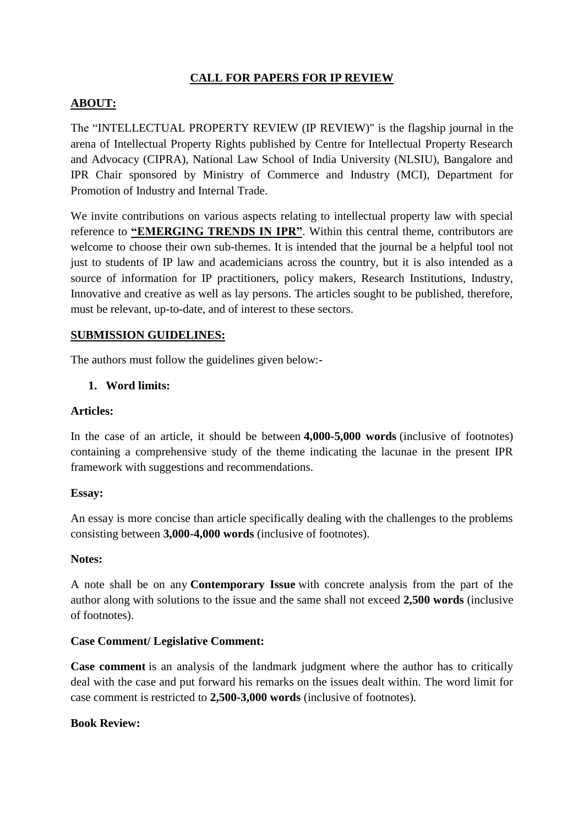# **CALL FOR PAPERS FOR IP REVIEW**

## **ABOUT:**

The "INTELLECTUAL PROPERTY REVIEW (IP REVIEW)" is the flagship journal in the arena of Intellectual Property Rights published by Centre for Intellectual Property Research and Advocacy (CIPRA), National Law School of India University (NLSIU), Bangalore and IPR Chair sponsored by Ministry of Commerce and Industry (MCI), Department for Promotion of Industry and Internal Trade.

We invite contributions on various aspects relating to intellectual property law with special reference to **"EMERGING TRENDS IN IPR"**. Within this central theme, contributors are welcome to choose their own sub-themes. It is intended that the journal be a helpful tool not just to students of IP law and academicians across the country, but it is also intended as a source of information for IP practitioners, policy makers, Research Institutions, Industry, Innovative and creative as well as lay persons. The articles sought to be published, therefore, must be relevant, up-to-date, and of interest to these sectors.

### **SUBMISSION GUIDELINES:**

The authors must follow the guidelines given below:-

### **1. Word limits:**

#### **Articles:**

In the case of an article, it should be between **4,000-5,000 words** (inclusive of footnotes) containing a comprehensive study of the theme indicating the lacunae in the present IPR framework with suggestions and recommendations.

#### **Essay:**

An essay is more concise than article specifically dealing with the challenges to the problems consisting between **3,000-4,000 words** (inclusive of footnotes).

#### **Notes:**

A note shall be on any **Contemporary Issue** with concrete analysis from the part of the author along with solutions to the issue and the same shall not exceed **2,500 words** (inclusive of footnotes).

### **Case Comment/ Legislative Comment:**

**Case comment** is an analysis of the landmark judgment where the author has to critically deal with the case and put forward his remarks on the issues dealt within. The word limit for case comment is restricted to **2,500-3,000 words** (inclusive of footnotes).

#### **Book Review:**